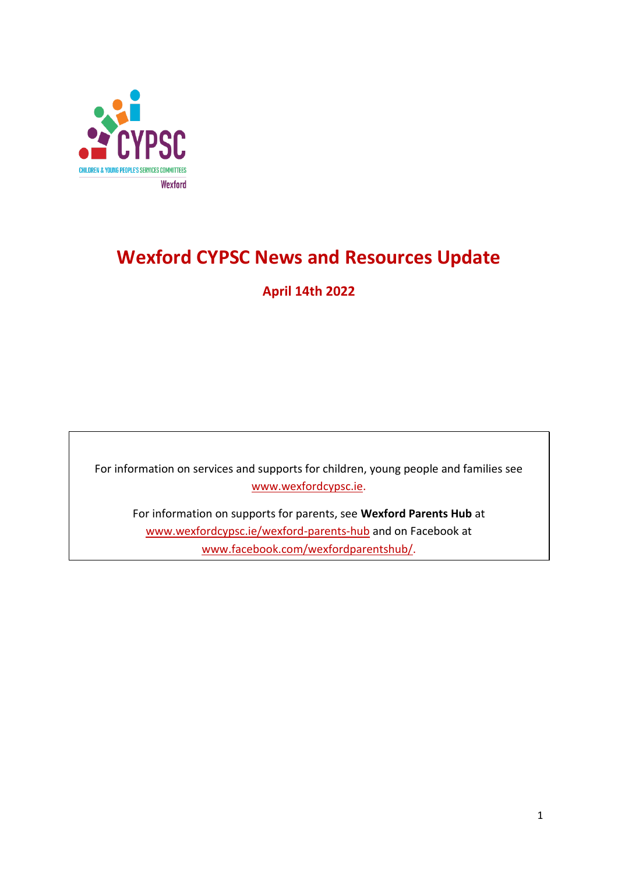

# **Wexford CYPSC News and Resources Update**

## **April 14th 2022**

For information on services and supports for children, young people and families see [www.wexfordcypsc.ie.](http://www.wexfordcypsc.ie/)

For information on supports for parents, see **Wexford Parents Hub** at [www.wexfordcypsc.ie/wexford-parents-hub](http://www.wexfordcypsc.ie/wexford-parents-hub) and on Facebook at [www.facebook.com/wexfordparentshub/.](https://www.facebook.com/wexfordparentshub/)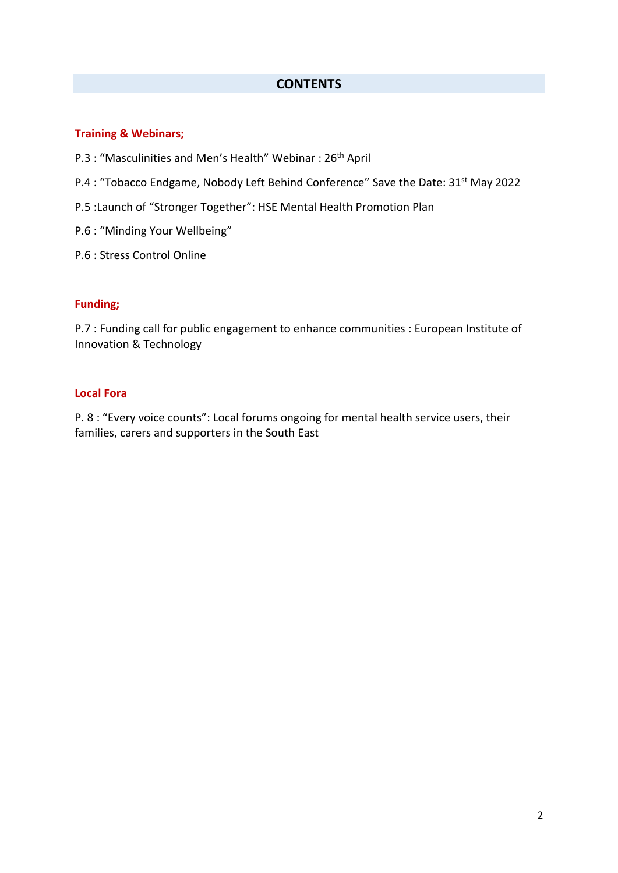#### **CONTENTS**

#### **Training & Webinars;**

- P.3 : "Masculinities and Men's Health" Webinar : 26<sup>th</sup> April
- P.4 : "Tobacco Endgame, Nobody Left Behind Conference" Save the Date: 31<sup>st</sup> May 2022
- P.5 :Launch of "Stronger Together": HSE Mental Health Promotion Plan
- P.6 : "Minding Your Wellbeing"
- P.6 : Stress Control Online

#### **Funding;**

P.7 : Funding call for public engagement to enhance communities : European Institute of Innovation & Technology

#### **Local Fora**

P. 8 : "Every voice counts": Local forums ongoing for mental health service users, their families, carers and supporters in the South East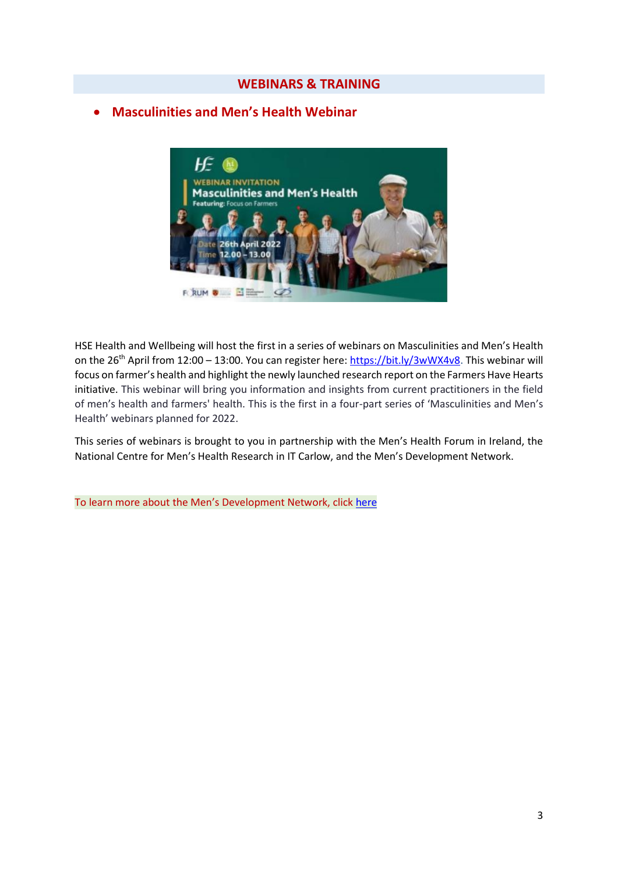## **Masculinities and Men's Health Webinar**



HSE Health and Wellbeing will host the first in a series of webinars on Masculinities and Men's Health on the 26<sup>th</sup> April from 12:00 – 13:00. You can register here: [https://bit.ly/3wWX4v8.](https://scanner.topsec.com/?r=show&u=https%3A%2F%2Fbit.ly%2F3wWX4v8&t=c10a58539c6e11951414634722a94a06f097eb15&d=2304) This webinar will focus on farmer's health and highlight the newly launched research report on the Farmers Have Hearts initiative. This webinar will bring you information and insights from current practitioners in the field of men's health and farmers' health. This is the first in a four-part series of 'Masculinities and Men's Health' webinars planned for 2022.

This series of webinars is brought to you in partnership with the Men's Health Forum in Ireland, the National Centre for Men's Health Research in IT Carlow, and the Men's Development Network.

To learn more about the Men's Development Network, click [here](https://mensnetwork.ie/)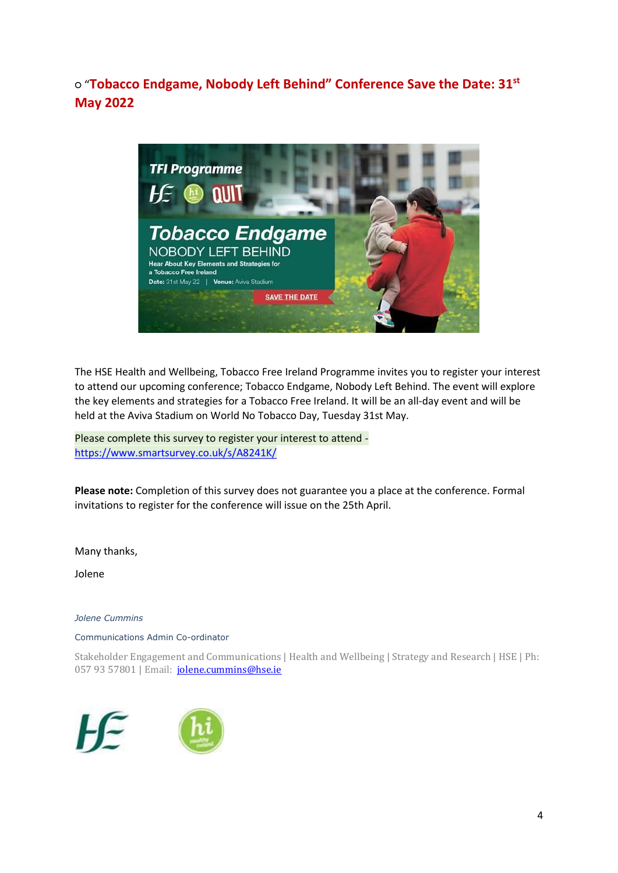○ "**Tobacco Endgame, Nobody Left Behind" Conference Save the Date: 31st May 2022**



The HSE Health and Wellbeing, Tobacco Free Ireland Programme invites you to register your interest to attend our upcoming conference; Tobacco Endgame, Nobody Left Behind. The event will explore the key elements and strategies for a Tobacco Free Ireland. It will be an all-day event and will be held at the Aviva Stadium on World No Tobacco Day, Tuesday 31st May.

Please complete this survey to register your interest to attend [https://www.smartsurvey.co.uk/s/A8241K/](https://scanner.topsec.com/?t=6f2cf7e41c1e93047b3fd88cb40058dcc3d8614c&u=https%3A%2F%2Fwww.smartsurvey.co.uk%2Fs%2FA8241K%2F&d=1823&r=show)

**Please note:** Completion of this survey does not guarantee you a place at the conference. Formal invitations to register for the conference will issue on the 25th April.

Many thanks,

Jolene

*Jolene Cummins*

Communications Admin Co-ordinator

Stakeholder Engagement and Communications | Health and Wellbeing | Strategy and Research | HSE | Ph: 057 93 57801 | Email: [jolene.cummins@hse.ie](mailto:jolene.cummins@hse.ie)

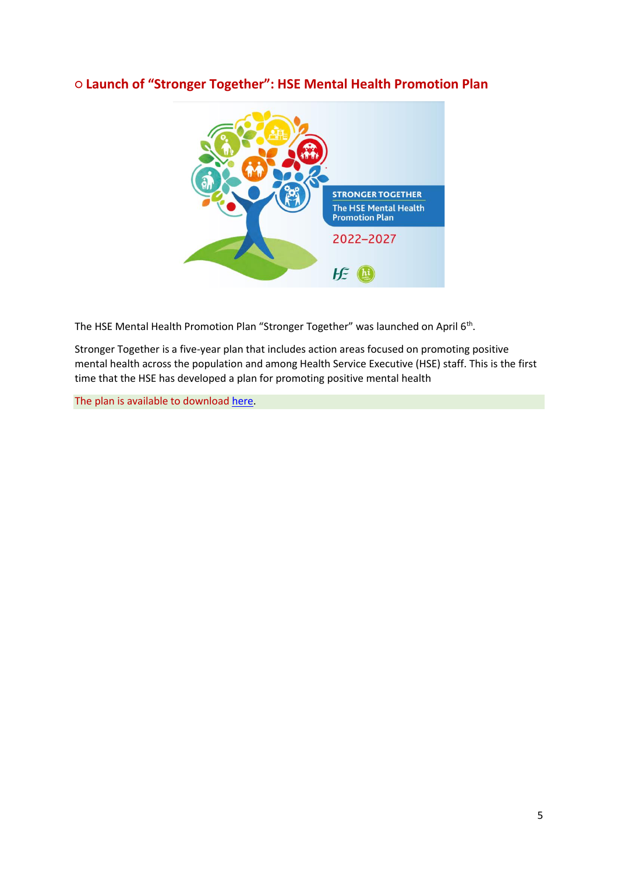## **○ Launch of "Stronger Together": HSE Mental Health Promotion Plan**



The HSE Mental Health Promotion Plan "Stronger Together" was launched on April 6<sup>th</sup>.

Stronger Together is a five-year plan that includes action areas focused on promoting positive mental health across the population and among Health Service Executive (HSE) staff. This is the first time that the HSE has developed a plan for promoting positive mental health

The plan is available to downloa[d here.](https://www.hse.ie/eng/about/who/healthwellbeing/our-priority-programmes/mental-health-and-wellbeing/hse-mental-health-promotion-plan.pdf)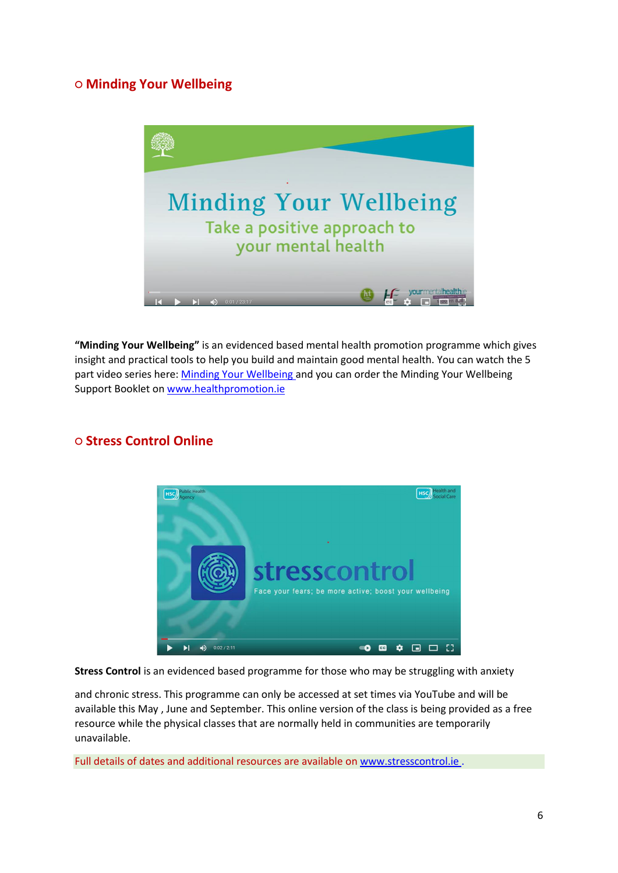## **○ Minding Your Wellbeing**



**"Minding Your Wellbeing"** is an evidenced based mental health promotion programme which gives insight and practical tools to help you build and maintain good mental health. You can watch the 5 part video series here[: Minding Your Wellbeing a](https://scanner.topsec.com/?u=https%3A%2F%2Fbit.ly%2F2ZkIThr&d=1823&r=show&t=0e27925dd3494c5e377abeed1c7aa5c3a87907e5)nd you can order the Minding Your Wellbeing Support Booklet on [www.healthpromotion.ie](https://scanner.topsec.com/?d=2304&u=www.healthpromotion.ie&r=show&t=c4182f90623a5802098b5dfe68193f6c1356e43c) 



#### **○ Stress Control Online**

**Stress Control** is an evidenced based programme for those who may be struggling with anxiety

and chronic stress. This programme can only be accessed at set times via YouTube and will be available this May , June and September. This online version of the class is being provided as a free resource while the physical classes that are normally held in communities are temporarily unavailable.

Full details of dates and additional resources are available on [www.stresscontrol.ie .](https://scanner.topsec.com/?d=2304&u=www.stresscontrol.ie&r=show&t=9b73d827e764421847fb3fbf2db6ae6699cc84a0)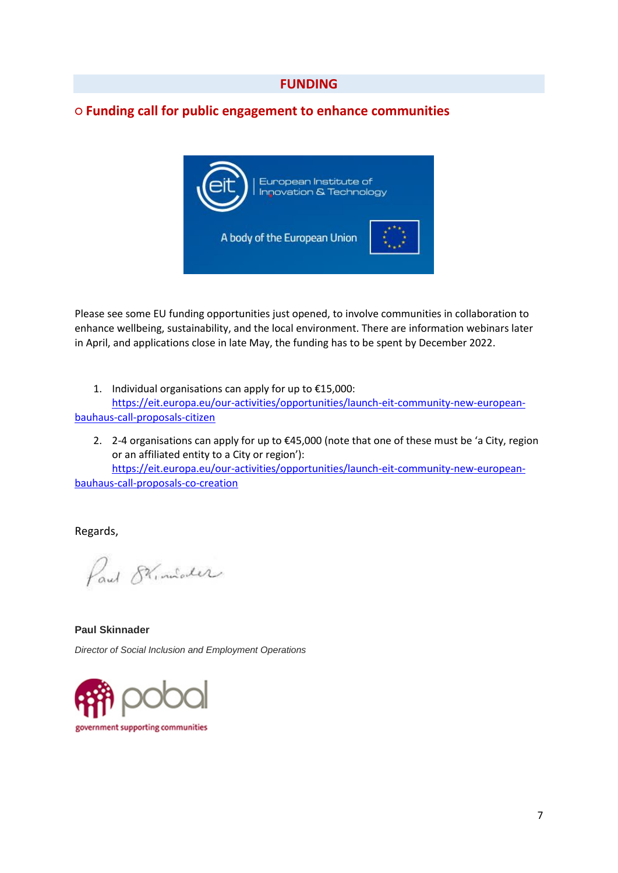#### **○ Funding call for public engagement to enhance communities**



Please see some EU funding opportunities just opened, to involve communities in collaboration to enhance wellbeing, sustainability, and the local environment. There are information webinars later in April, and applications close in late May, the funding has to be spent by December 2022.

- 1. Individual organisations can apply for up to €15,000: [https://eit.europa.eu/our-activities/opportunities/launch-eit-community-new-european](https://scanner.topsec.com/?t=4ffb5379d387aa433d0d667072a9da7a66b664dd&d=2304&u=https%3A%2F%2Feit.europa.eu%2Four-activities%2Fopportunities%2Flaunch-eit-community-new-european-bauhaus-call-proposals-citizen&r=show)[bauhaus-call-proposals-citizen](https://scanner.topsec.com/?t=4ffb5379d387aa433d0d667072a9da7a66b664dd&d=2304&u=https%3A%2F%2Feit.europa.eu%2Four-activities%2Fopportunities%2Flaunch-eit-community-new-european-bauhaus-call-proposals-citizen&r=show)
	- 2. 2-4 organisations can apply for up to €45,000 (note that one of these must be 'a City, region or an affiliated entity to a City or region'): [https://eit.europa.eu/our-activities/opportunities/launch-eit-community-new-european-](https://scanner.topsec.com/?t=ca6708fd5a96403617a00f819591bf695a27d51e&d=2304&u=https%3A%2F%2Feit.europa.eu%2Four-activities%2Fopportunities%2Flaunch-eit-community-new-european-bauhaus-call-proposals-co-creation&r=show)

[bauhaus-call-proposals-co-creation](https://scanner.topsec.com/?t=ca6708fd5a96403617a00f819591bf695a27d51e&d=2304&u=https%3A%2F%2Feit.europa.eu%2Four-activities%2Fopportunities%2Flaunch-eit-community-new-european-bauhaus-call-proposals-co-creation&r=show)

Regards,

Paul Stimiater

**Paul Skinnader** *Director of Social Inclusion and Employment Operations*